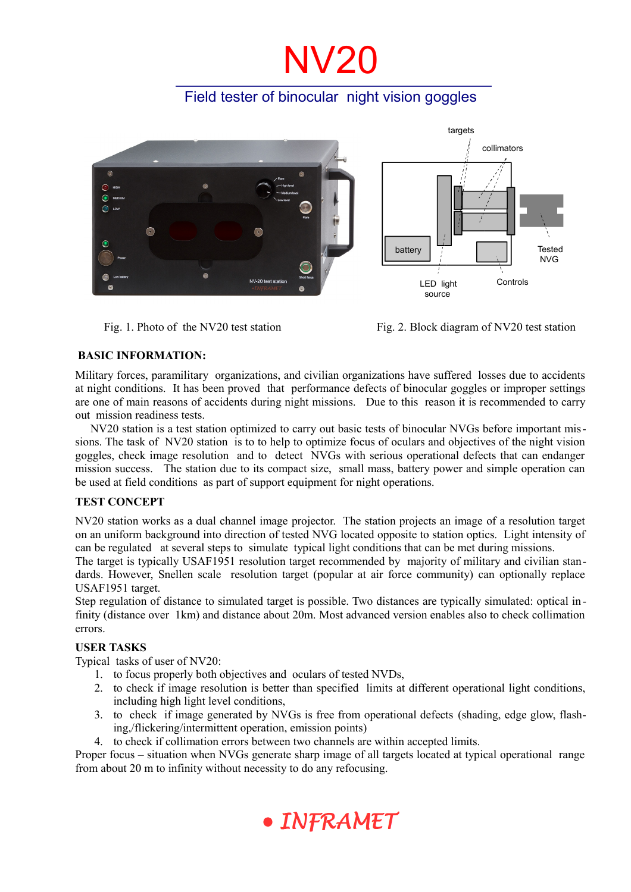# **NV20**

## Field tester of binocular night vision goggles



Fig. 1. Photo of the NV20 test station Fig. 2. Block diagram of NV20 test station

## **BASIC INFORMATION:**

Military forces, paramilitary organizations, and civilian organizations have suffered losses due to accidents at night conditions. It has been proved that performance defects of binocular goggles or improper settings are one of main reasons of accidents during night missions. Due to this reason it is recommended to carry out mission readiness tests.

NV20 station is a test station optimized to carry out basic tests of binocular NVGs before important missions. The task of NV20 station is to to help to optimize focus of oculars and objectives of the night vision goggles, check image resolution and to detect NVGs with serious operational defects that can endanger mission success. The station due to its compact size, small mass, battery power and simple operation can be used at field conditions as part of support equipment for night operations.

## **TEST CONCEPT**

NV20 station works as a dual channel image projector. The station projects an image of a resolution target on an uniform background into direction of tested NVG located opposite to station optics. Light intensity of can be regulated at several steps to simulate typical light conditions that can be met during missions.

The target is typically USAF1951 resolution target recommended by majority of military and civilian standards. However, Snellen scale resolution target (popular at air force community) can optionally replace USAF1951 target.

Step regulation of distance to simulated target is possible. Two distances are typically simulated: optical infinity (distance over 1km) and distance about 20m. Most advanced version enables also to check collimation errors.

## **USER TASKS**

Typical tasks of user of NV20:

- 1. to focus properly both objectives and oculars of tested NVDs,
- 2. to check if image resolution is better than specified limits at different operational light conditions, including high light level conditions,
- 3. to check if image generated by NVGs is free from operational defects (shading, edge glow, flashing,/flickering/intermittent operation, emission points)
- 4. to check if collimation errors between two channels are within accepted limits.

Proper focus – situation when NVGs generate sharp image of all targets located at typical operational range from about 20 m to infinity without necessity to do any refocusing.

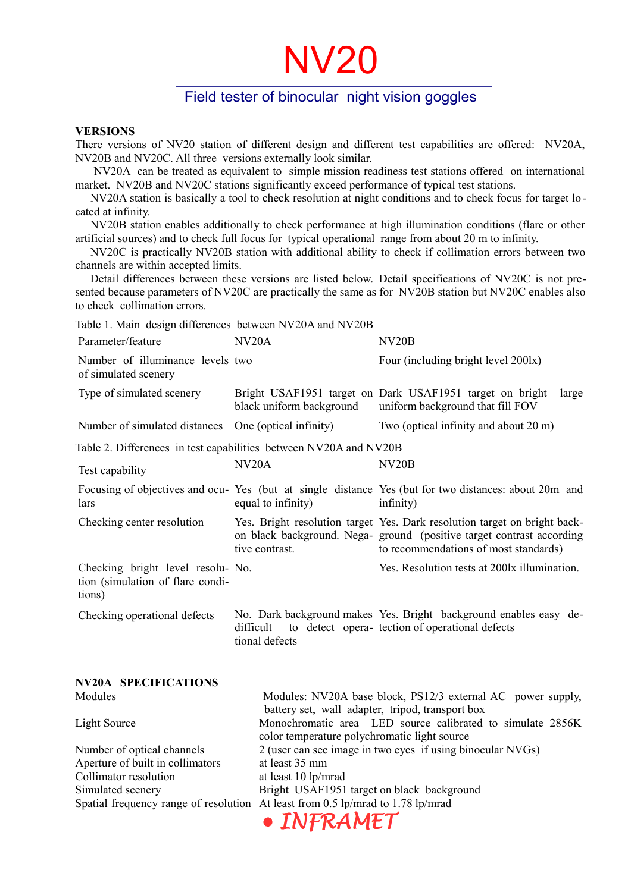## NV20

## Field tester of binocular night vision goggles

#### **VERSIONS**

There versions of NV20 station of different design and different test capabilities are offered: NV20A, NV20B and NV20C. All three versions externally look similar.

 NV20A can be treated as equivalent to simple mission readiness test stations offered on international market. NV20B and NV20C stations significantly exceed performance of typical test stations.

NV20A station is basically a tool to check resolution at night conditions and to check focus for target located at infinity.

NV20B station enables additionally to check performance at high illumination conditions (flare or other artificial sources) and to check full focus for typical operational range from about 20 m to infinity.

NV20C is practically NV20B station with additional ability to check if collimation errors between two channels are within accepted limits.

Detail differences between these versions are listed below. Detail specifications of NV20C is not presented because parameters of NV20C are practically the same as for NV20B station but NV20C enables also to check collimation errors.

| Table 1. Main design differences between NV20A and NV20B                        |                                                                                                                 |                                                                                                                                                                                            |  |
|---------------------------------------------------------------------------------|-----------------------------------------------------------------------------------------------------------------|--------------------------------------------------------------------------------------------------------------------------------------------------------------------------------------------|--|
| Parameter/feature                                                               | N <sub>V</sub> 20A                                                                                              | NV <sub>20</sub> B                                                                                                                                                                         |  |
| Number of illuminance levels two<br>of simulated scenery                        |                                                                                                                 | Four (including bright level 2001x)                                                                                                                                                        |  |
| Type of simulated scenery                                                       | black uniform background                                                                                        | Bright USAF1951 target on Dark USAF1951 target on bright<br>large<br>uniform background that fill FOV                                                                                      |  |
| Number of simulated distances                                                   | One (optical infinity)                                                                                          | Two (optical infinity and about 20 m)                                                                                                                                                      |  |
| Table 2. Differences in test capabilities between NV20A and NV20B               |                                                                                                                 |                                                                                                                                                                                            |  |
| Test capability                                                                 | N <sub>V</sub> 20A                                                                                              | NV <sub>20</sub> B                                                                                                                                                                         |  |
| lars                                                                            | equal to infinity)                                                                                              | Focusing of objectives and ocu- Yes (but at single distance Yes (but for two distances: about 20m and<br>infinity)                                                                         |  |
| Checking center resolution                                                      | tive contrast.                                                                                                  | Yes. Bright resolution target Yes. Dark resolution target on bright back-<br>on black background. Nega-ground (positive target contrast according<br>to recommendations of most standards) |  |
| Checking bright level resolu- No.<br>tion (simulation of flare condi-<br>tions) |                                                                                                                 | Yes. Resolution tests at 2001x illumination.                                                                                                                                               |  |
| Checking operational defects                                                    | difficult<br>tional defects                                                                                     | No. Dark background makes Yes. Bright background enables easy de-<br>to detect opera- tection of operational defects                                                                       |  |
| <b>NV20A SPECIFICATIONS</b>                                                     |                                                                                                                 |                                                                                                                                                                                            |  |
| Modules                                                                         | Modules: NV20A base block, PS12/3 external AC power supply,<br>battery set, wall adapter, tripod, transport box |                                                                                                                                                                                            |  |
| <b>Light Source</b>                                                             | Monochromatic area LED source calibrated to simulate 2856K<br>color temperature polychromatic light source      |                                                                                                                                                                                            |  |
| Number of optical channels                                                      | 2 (user can see image in two eyes if using binocular NVGs)                                                      |                                                                                                                                                                                            |  |
| Aperture of built in collimators                                                | at least 35 mm                                                                                                  |                                                                                                                                                                                            |  |
| Collimator resolution                                                           | at least 10 lp/mrad                                                                                             |                                                                                                                                                                                            |  |
| Simulated scenery                                                               |                                                                                                                 | Bright USAF1951 target on black background                                                                                                                                                 |  |
|                                                                                 |                                                                                                                 | Spatial frequency range of resolution At least from 0.5 lp/mrad to 1.78 lp/mrad                                                                                                            |  |
|                                                                                 | INFRAMET                                                                                                        |                                                                                                                                                                                            |  |